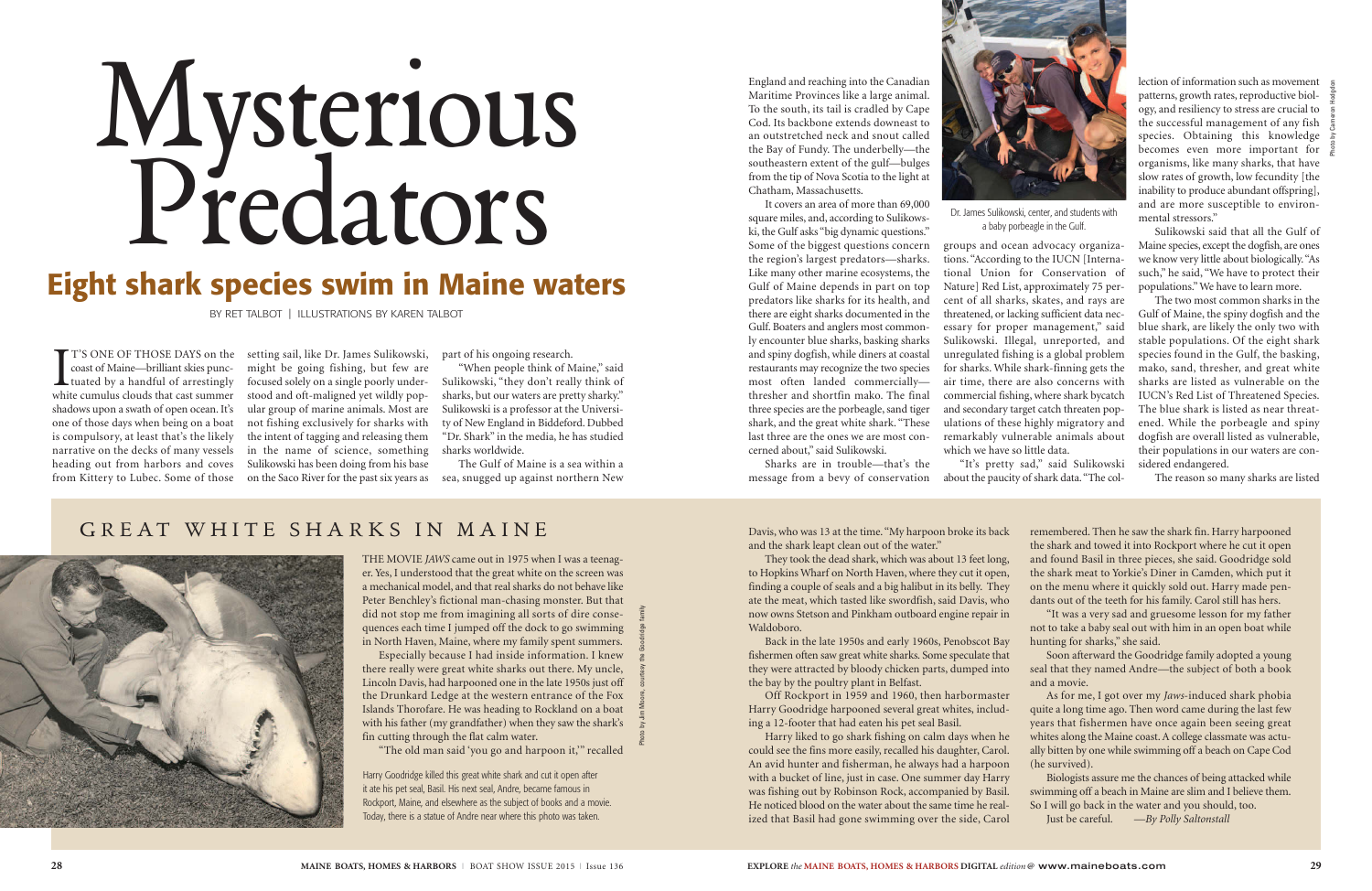I<sub>whit</sub> coast of Maine—brilliant skies punctuated by a handful of arrestingly white cumulus clouds that cast summer shadows upon a swath of open ocean. It's one of those days when being on a boat is compulsory, at least that's the likely narrative on the decks of many vessels heading out from harbors and coves from Kittery to Lubec. Some of those

T'S ONE OF THOSE DAYS on the setting sail, like Dr. James Sulikowski, might be going fishing, but few are focused solely on a single poorly understood and oft-maligned yet wildly popular group of marine animals. Most are not fishing exclusively for sharks with the intent of tagging and releasing them in the name of science, something Sulikowski has been doing from his base on the Saco River for the past six years as sea, snugged up against northern New

part of his ongoing research.

"When people think of Maine," said Sulikowski, "they don't really think of sharks, but our waters are pretty sharky." Sulikowski is a professor at the University of New England in Biddeford. Dubbed "Dr. Shark" in the media, he has studied sharks worldwide.

The Gulf of Maine is a sea within a

England and reaching into the Canadian Maritime Provinces like a large animal. To the south, its tail is cradled by Cape Cod. Its backbone extends downeast to an outstretched neck and snout called the Bay of Fundy. The underbelly—the southeastern extent of the gulf—bulges from the tip of Nova Scotia to the light at Chatham, Massachusetts.

It covers an area of more than 69,000 square miles, and, according to Sulikowski, the Gulf asks "big dynamic questions." Some of the biggest questions concern the region's largest predators—sharks. Like many other marine ecosystems, the Gulf of Maine depends in part on top predators like sharks for its health, and there are eight sharks documented in the Gulf. Boaters and anglers most commonly encounter blue sharks, basking sharks and spiny dogfish, while diners at coastal restaurants may recognize the two species most often landed commercially thresher and shortfin mako. The final three species are the porbeagle, sand tiger shark, and the great white shark. "These last three are the ones we are most concerned about," said Sulikowski.

Sharks are in trouble—that's the message from a bevy of conservation

groups and ocean advocacy organizations. "According to the IUCN [International Union for Conservation of Nature] Red List, approximately 75 percent of all sharks, skates, and rays are threatened, or lacking sufficient data necessary for proper management," said Sulikowski. Illegal, unreported, and unregulated fishing is a global problem for sharks. While shark-finning gets the air time, there are also concerns with commercial fishing, where shark bycatch and secondary target catch threaten populations of these highly migratory and remarkably vulnerable animals about which we have so little data.

"It's pretty sad," said Sulikowski about the paucity of shark data. "The col-

lection of information such as movement patterns, growth rates, reproductive biology, and resiliency to stress are crucial to the successful management of any fish species. Obtaining this knowledge becomes even more important for organisms, like many sharks, that have slow rates of growth, low fecundity [the inability to produce abundant offspring], and are more susceptible to environmental stressors."

Sulikowski said that all the Gulf of Maine species, except the dogfish, are ones we know very little about biologically. "As such," he said, "We have to protect their populations." We have to learn more.

The two most common sharks in the Gulf of Maine, the spiny dogfish and the blue shark, are likely the only two with stable populations. Of the eight shark species found in the Gulf, the basking, mako, sand, thresher, and great white sharks are listed as vulnerable on the IUCN's Red List of Threatened Species. The blue shark is listed as near threatened. While the porbeagle and spiny dogfish are overall listed as vulnerable, their populations in our waters are considered endangered.

The reason so many sharks are listed

THE MOVIE *JAWS* came out in 1975 when I was a teenager. Yes, I understood that the great white on the screen was a mechanical model, and that real sharks do not behave like Peter Benchley's fictional man-chasing monster. But that did not stop me from imagining all sorts of dire consequences each time I jumped off the dock to go swimming in North Haven, Maine, where my family spent summers.

Especially because I had inside information. I knew there really were great white sharks out there. My uncle, Lincoln Davis, had harpooned one in the late 1950s just off the Drunkard Ledge at the western entrance of the Fox Islands Thorofare. He was heading to Rockland on a boat with his father (my grandfather) when they saw the shark's fin cutting through the flat calm water.

"The old man said 'you go and harpoon it,'" recalled

Davis, who was 13 at the time. "My harpoon broke its back and the shark leapt clean out of the water."

They took the dead shark, which was about 13 feet long, to Hopkins Wharf on North Haven, where they cut it open, finding a couple of seals and a big halibut in its belly. They ate the meat, which tasted like swordfish, said Davis, who now owns Stetson and Pinkham outboard engine repair in Waldoboro.

Back in the late 1950s and early 1960s, Penobscot Bay fishermen often saw great white sharks. Some speculate that they were attracted by bloody chicken parts, dumped into the bay by the poultry plant in Belfast.

Off Rockport in 1959 and 1960, then harbormaster Harry Goodridge harpooned several great whites, including a 12-footer that had eaten his pet seal Basil.

Harry liked to go shark fishing on calm days when he could see the fins more easily, recalled his daughter, Carol. An avid hunter and fisherman, he always had a harpoon with a bucket of line, just in case. One summer day Harry was fishing out by Robinson Rock, accompanied by Basil. He noticed blood on the water about the same time he realized that Basil had gone swimming over the side, Carol remembered. Then he saw the shark fin. Harry harpooned the shark and towed it into Rockport where he cut it open and found Basil in three pieces, she said. Goodridge sold the shark meat to Yorkie's Diner in Camden, which put it on the menu where it quickly sold out. Harry made pendants out of the teeth for his family. Carol still has hers.

"It was a very sad and gruesome lesson for my father not to take a baby seal out with him in an open boat while hunting for sharks," she said.

Soon afterward the Goodridge family adopted a young seal that they named Andre—the subject of both a book and a movie.

As for me, I got over my *Jaws*-induced shark phobia quite a long time ago. Then word came during the last few years that fishermen have once again been seeing great whites along the Maine coast. A college classmate was actually bitten by one while swimming off a beach on Cape Cod (he survived).

Biologists assure me the chances of being attacked while swimming off a beach in Maine are slim and I believe them. So I will go back in the water and you should, too.

Just be careful. *—By Polly Saltonstall*

Harry Goodridge killed this great white shark and cut it open after it ate his pet seal, Basil. His next seal, Andre, became famous in Rockport, Maine, and elsewhere as the subject of books and a movie. Today, there is a statue of Andre near where this photo was taken.

# Mysterious Predators

### **Eight shark species swim in Maine waters**

BY RET TALBOT | ILLUSTRATIONS BY KAREN TALBOT

Photo by Jim Moore, courtesy the Goodridge family

#### GREAT WHITE SHARKS IN MAINE





Dr. James Sulikowski, center, and students with a baby porbeagle in the Gulf.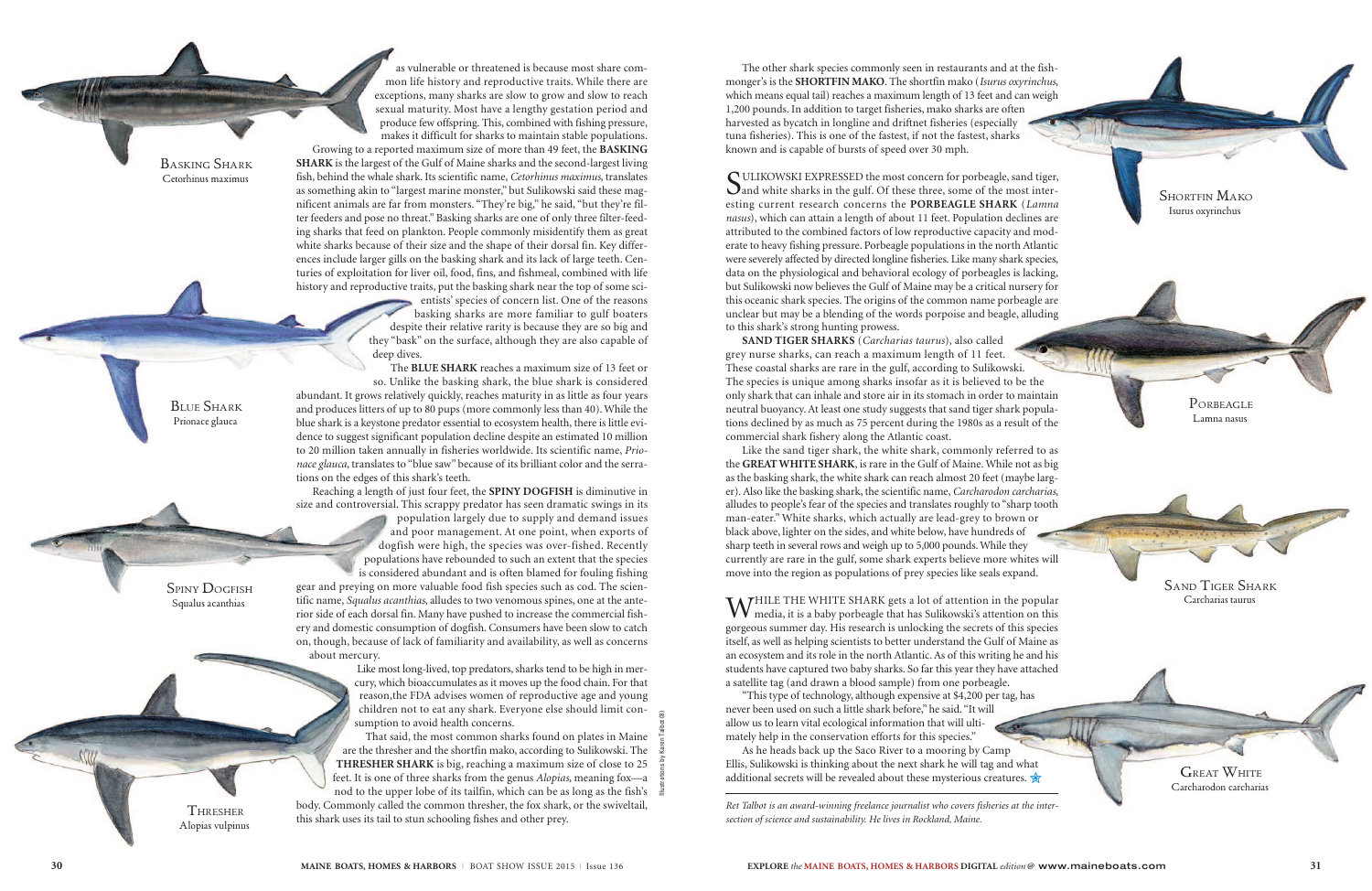The other shark species commonly seen in restaurants and at the fishmonger's is the **SHORTFIN MAKO**. The shortfin mako (*Isurus oxyrinchus*, which means equal tail) reaches a maximum length of 13 feet and can weigh 1,200 pounds. In addition to target fisheries, mako sharks are often harvested as bycatch in longline and driftnet fisheries (especially tuna fisheries). This is one of the fastest, if not the fastest, sharks known and is capable of bursts of speed over 30 mph.

SULIKOWSKI EXPRESSED the most concern for porbeagle, sand tiger,  $\mathbf{Q}_{\text{and}}$  white sharks in the gulf. Of these three, some of the most interesting current research concerns the **PORBEAGLE SHARK** (*Lamna nasus*), which can attain a length of about 11 feet. Population declines are attributed to the combined factors of low reproductive capacity and moderate to heavy fishing pressure. Porbeagle populations in the north Atlantic were severely affected by directed longline fisheries. Like many shark species, data on the physiological and behavioral ecology of porbeagles is lacking, but Sulikowski now believes the Gulf of Maine may be a critical nursery for this oceanic shark species. The origins of the common name porbeagle are unclear but may be a blending of the words porpoise and beagle, alluding to this shark's strong hunting prowess.

WHILE THE WHITE SHARK gets a lot of attention in the popular media, it is a baby porbeagle that has Sulikowski's attention on this gorgeous summer day. His research is unlocking the secrets of this species itself, as well as helping scientists to better understand the Gulf of Maine as an ecosystem and its role in the north Atlantic. As of this writing he and his students have captured two baby sharks. So far this year they have attached a satellite tag (and drawn a blood sample) from one porbeagle.

**SAND TIGER SHARKS** (*Carcharias taurus*), also called grey nurse sharks, can reach a maximum length of 11 feet. These coastal sharks are rare in the gulf, according to Sulikowski. The species is unique among sharks insofar as it is believed to be the only shark that can inhale and store air in its stomach in order to maintain neutral buoyancy. At least one study suggests that sand tiger shark populations declined by as much as 75 percent during the 1980s as a result of the commercial shark fishery along the Atlantic coast.

As he heads back up the Saco River to a mooring by Camp Ellis, Sulikowski is thinking about the next shark he will tag and what additional secrets will be revealed about these mysterious creatures.  $\frac{1}{\mathcal{M}}$ 

Like the sand tiger shark, the white shark, commonly referred to as the **GREAT WHITE SHARK**, is rare in the Gulf of Maine. While not as big as the basking shark, the white shark can reach almost 20 feet (maybe larger). Also like the basking shark, the scientific name, *Carcharodon carcharias*, alludes to people's fear of the species and translates roughly to "sharp tooth man-eater." White sharks, which actually are lead-grey to brown or black above, lighter on the sides, and white below, have hundreds of sharp teeth in several rows and weigh up to 5,000 pounds. While they currently are rare in the gulf, some shark experts believe more whites will move into the region as populations of prey species like seals expand.

"This type of technology, although expensive at \$4,200 per tag, has never been used on such a little shark before," he said. "It will allow us to learn vital ecological information that will ultimately help in the conservation efforts for this species."

*Ret Talbot is an award-winning freelance journalist who covers fisheries at the intersection of science and sustainability. He lives in Rockland, Maine.*

**THRESHER** Alopias vulpinus

as vulnerable or threatened is because most share common life history and reproductive traits. While there are exceptions, many sharks are slow to grow and slow to reach sexual maturity. Most have a lengthy gestation period and produce few offspring. This, combined with fishing pressure, makes it difficult for sharks to maintain stable populations.

Growing to a reported maximum size of more than 49 feet, the **BASKING SHARK** is the largest of the Gulf of Maine sharks and the second-largest living fish, behind the whale shark. Its scientific name, *Cetorhinus maximus*, translates as something akin to "largest marine monster," but Sulikowski said these magnificent animals are far from monsters. "They're big," he said, "but they're filter feeders and pose no threat." Basking sharks are one of only three filter-feeding sharks that feed on plankton. People commonly misidentify them as great white sharks because of their size and the shape of their dorsal fin. Key differences include larger gills on the basking shark and its lack of large teeth. Centuries of exploitation for liver oil, food, fins, and fishmeal, combined with life history and reproductive traits, put the basking shark near the top of some sci-

> entists' species of concern list. One of the reasons basking sharks are more familiar to gulf boaters despite their relative rarity is because they are so big and they "bask" on the surface, although they are also capable of deep dives.

The **BLUE SHARK** reaches a maximum size of 13 feet or so. Unlike the basking shark, the blue shark is considered abundant. It grows relatively quickly, reaches maturity in as little as four years and produces litters of up to 80 pups (more commonly less than 40). While the blue shark is a keystone predator essential to ecosystem health, there is little evidence to suggest significant population decline despite an estimated 10 million to 20 million taken annually in fisheries worldwide. Its scientific name, *Prionace glauca*, translates to "blue saw" because of its brilliant color and the serrations on the edges of this shark's teeth.

Reaching a length of just four feet, the **SPINY DOGFISH** is diminutive in size and controversial. This scrappy predator has seen dramatic swings in its population largely due to supply and demand issues and poor management. At one point, when exports of dogfish were high, the species was over-fished. Recently populations have rebounded to such an extent that the species is considered abundant and is often blamed for fouling fishing

gear and preying on more valuable food fish species such as cod. The scientific name, *Squalus acanthias*, alludes to two venomous spines, one at the anterior side of each dorsal fin. Many have pushed to increase the commercial fishery and domestic consumption of dogfish. Consumers have been slow to catch on, though, because of lack of familiarity and availability, as well as concerns about mercury.

> Like most long-lived, top predators, sharks tend to be high in mercury, which bioaccumulates as it moves up the food chain. For that reason,the FDA advises women of reproductive age and young children not to eat any shark. Everyone else should limit consumption to avoid health concerns.

That said, the most common sharks found on plates in Maine are the thresher and the shortfin mako, according to Sulikowski. The **THRESHER SHARK** is big, reaching a maximum size of close to 25 feet. It is one of three sharks from the genus *Alopias*, meaning fox—a nod to the upper lobe of its tailfin, which can be as long as the fish's body. Commonly called the common thresher, the fox shark, or the swiveltail, this shark uses its tail to stun schooling fishes and other prey.

SPINY DOGFISH Squalus acanthias



BLUE SHARK Prionace glauca

BASKING SHARK Cetorhinus maximus

Illustrations by Karen Talbot (8)